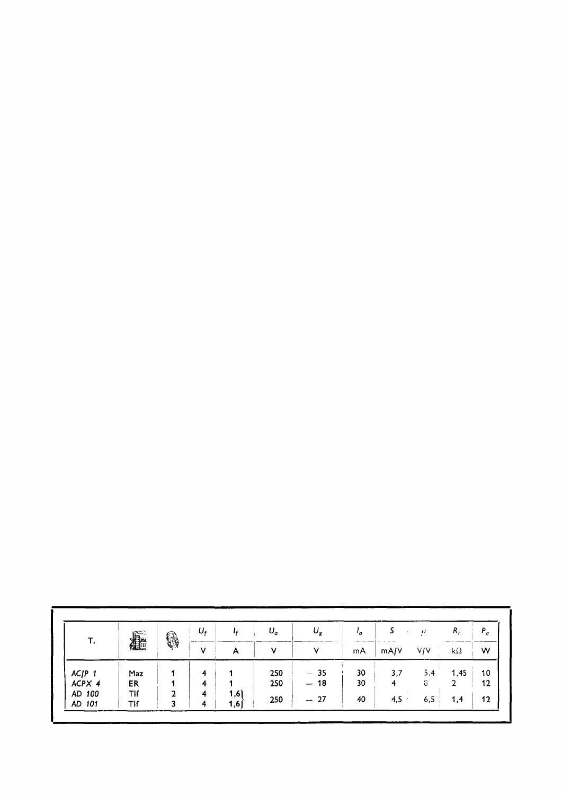| Т.     | ⊯≈೦೦<br>種  | 6 | Ur         | Ir           | $U_a$ | $U_{g}$ | ۰, | $\Delta$<br><b>CALL 41 - 20 - 20</b> | $\mu$      | $R_i$     | $P_a$ |
|--------|------------|---|------------|--------------|-------|---------|----|--------------------------------------|------------|-----------|-------|
|        |            |   | -----<br>v | $\mathsf{A}$ | ۷     | V       | mA | mA/V                                 | <b>V/V</b> | $k\Omega$ | W     |
| ACJP 1 | Maz        |   | 4          |              | 250   | $-35$   | 30 | 3,7                                  | 5,4        | 1.45      | 10    |
| ACPX 4 | ER         |   | 4          |              | 250   | $-18$   | 30 | 4                                    | 8          | 2         | 12    |
| AD 100 | Tlf        | ົ | 4          | 1,6          |       |         |    |                                      |            |           |       |
| AD 101 | <b>TIf</b> | 3 | 4          | 1,6          | 250   | $-27$   | 40 | 4,5                                  | 6,5        | 1,4       | 12    |